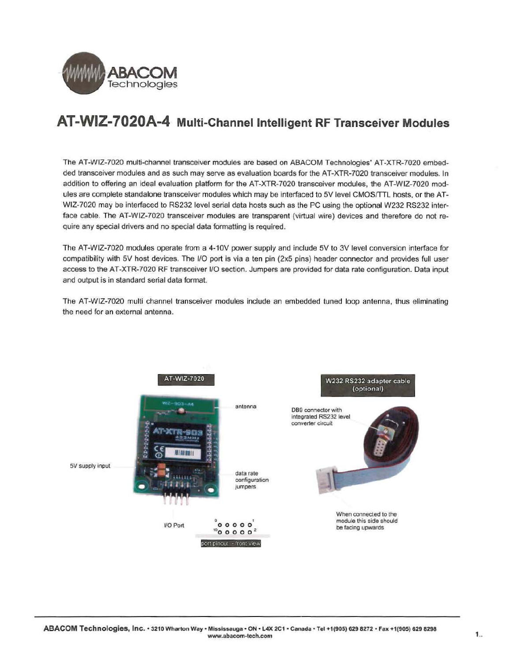

# **AT-WIZ-7020A-4 Multi-Channel Intelligent RF Transceiver Modules**

The AT-WIZ-7020 multi-channel transceiver modules are based on ABACOM Technologies' AT-XTR-7020 embedded transceiver modules and as such may serve as evaluation boards for the AT-XTR-7020 transceiver modules. In addition to offering an ideal evaluation platform for the AT-XTR-7020 transceiver modules, the AT-WIZ-7020 modules are complete standalone transceiver modules which may be interfaced to 5V level CMOS/TTL hosts, or the AT-WIZ-7020 may be interfaced to RS232 level serial data hosts such as the PC using the optional W232 RS232 interface cable. The AT-WIZ-7020 transceiver modules are transparent (virtual wire) devices and therefore do not require any special drivers and no special data formatting is required.

The AT-WIZ-7020 modules operate frorn a 4-10V power supply and include 5V to 3V level conversion interface for compatibility with 5V host devices. The I/O port is via a ten pin (2x5 pins) header connector and provides full user access to the AT-XTR-7020 RF transceiver 1/0 section. Jumpers are provided for data rate configuration. Data input and output is in standard serial data format.

The AT-WIZ-7020 multi channel transceiver modules include an embedded tuned loop antenna, thus eliminating the need for an external antenna.

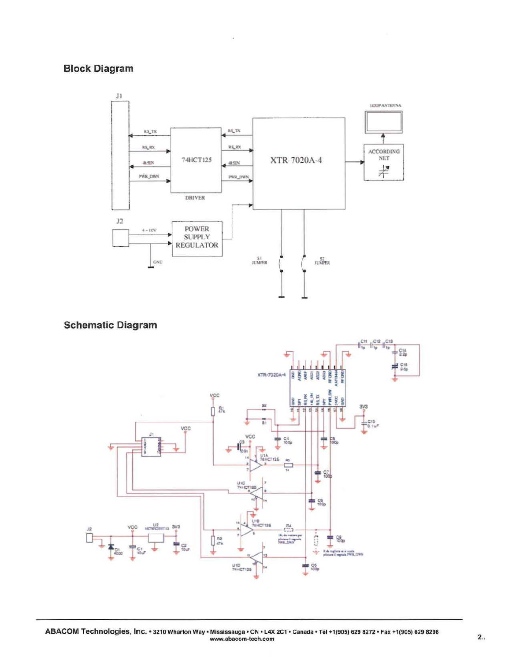# **Block Diagram**



**Schematic Diagram** 

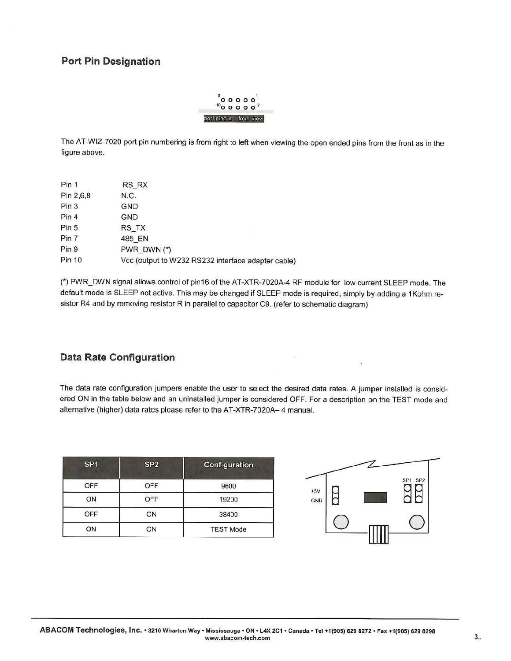# **Port Pin Designation**

|                          |  | 00000                  |
|--------------------------|--|------------------------|
|                          |  | $^{10}$ o o o o $^{2}$ |
| port pinout - front view |  |                        |

The AT-WIZ-7020 port pin numbering is from right to left when viewing the open ended pins from the front as in the figure above.

| Pin 1     | RS_RX                                              |
|-----------|----------------------------------------------------|
| Pin 2,6,8 | N.C.                                               |
| Pin 3     | <b>GND</b>                                         |
| Pin 4     | <b>GND</b>                                         |
| Pin 5     | RS_TX                                              |
| Pin 7     | 485 EN                                             |
| Pin 9     | PWR DWN (*)                                        |
| Pin 10    | Vcc (output to W232 RS232 interface adapter cable) |

(") PWR\_DWN signal allows control of pin16 of the AT-XTR-7020A-4 RF module for low current SLEEP mode. The default mode is SLEEP not active. This may be changed if SLEEP mode is required, simply by adding a 1 Kohm resistor R4 and by removing resistor R in parallel to capacitor C9. (refer to schematic diagram)

#### **Data Rate Configuration**

The data rate configuration jumpers enable the user to select the desired data rates. A jumper installed is considered ON in the table below and an uninstalled jumper is considered OFF. For a description on the TEST mode and alternative {higher) data rates please refer to the AT-XTR-7020A- 4 manual.

| SP <sub>1</sub> | SP <sub>2</sub> | Configuration    |              |                                    |
|-----------------|-----------------|------------------|--------------|------------------------------------|
| OFF             | OFF             | 9600             |              | SP <sub>2</sub><br>SP <sub>1</sub> |
| ON              | OFF             | 19200            | $+5V$<br>GND | ∼                                  |
| OFF             | ON              | 38400            |              |                                    |
| ON              | ON              | <b>TEST Mode</b> |              |                                    |



 $\bar{\bar{z}}$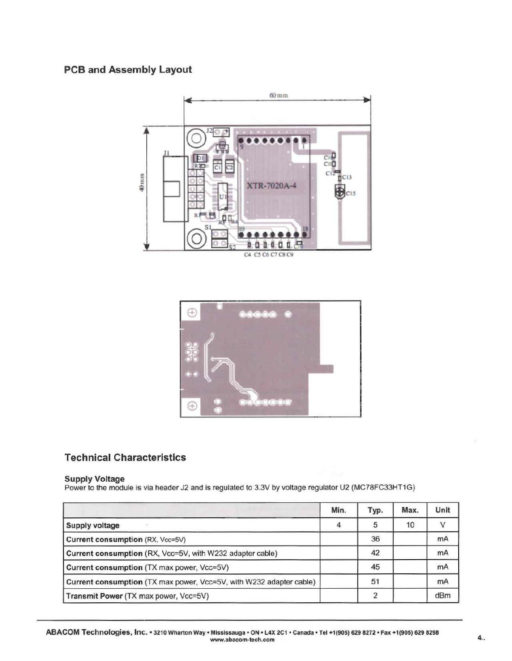# PCB and Assembly Layout



 $\bigoplus$ Œ

# Technical Characteristics

#### Supply Voltage

Power to the module is via header J2 and is regulated to 3.3V by voltage regulator U2 (MC78FC33HT1G)

|                                                                     | Min. | Typ. | Max. | Unit |
|---------------------------------------------------------------------|------|------|------|------|
| <b>Supply voltage</b>                                               |      | 5    | 10   |      |
| Current consumption (RX, Vcc=5V)                                    |      | 36   |      | mA   |
| Current consumption (RX, Vcc=5V, with W232 adapter cable)           |      | 42   |      | mA   |
| Current consumption (TX max power, Vcc=5V)                          |      | 45   |      | mA   |
| Current consumption (TX max power, Vcc=5V, with W232 adapter cable) |      | 51   |      | mA   |
| Transmit Power (TX max power, Vcc=5V)                               |      |      |      | dBm  |